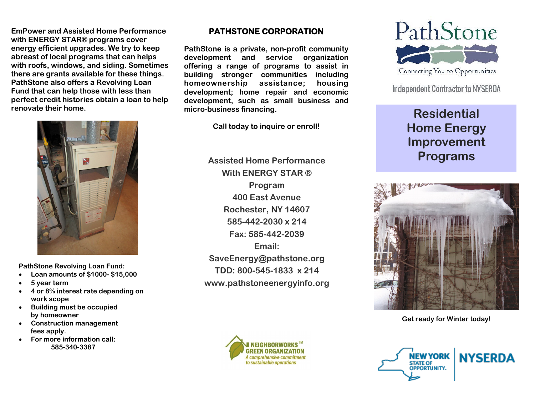**EmPower and Assisted Home Performance with ENERGY STAR® programs cover energy efficient upgrades. We try to keep abreast of local programs that can helps with roofs, windows, and siding. Sometimes there are grants available for these things. PathStone also offers a Revolving Loan Fund that can help those with less than perfect credit histories obtain a loan to help renovate their home.** 



**PathStone Revolving Loan Fund:**

- **Loan amounts of \$1000- \$15,000**
- **5 year term**
- **4 or 8% interest rate depending on work scope**
- **Building must be occupied by homeowner**
- **Construction management fees apply.**
- **For more information call: 585-340-3387**

## **PATHSTONE CORPORATION**

**PathStone is a private, non-profit community development and service organization offering a range of programs to assist in building stronger communities including homeownership assistance; housing development; home repair and economic development, such as small business and micro-business financing.** 

**Call today to inquire or enroll!**

**Assisted Home Performance With ENERGY STAR ® Program 400 East Avenue Rochester, NY 14607 585-442-2030 x 214 Fax: 585-442-2039 Email: SaveEnergy@pathstone.org TDD: 800-545-1833 x 214 www.pathstoneenergyinfo.org**





**Independent Contractor to NYSERDA** 

## **Residential Home Energy Improvement Programs**



**Get ready for Winter today!**